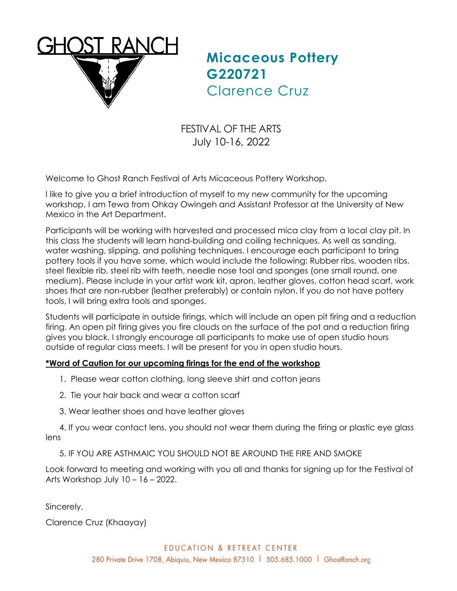

**Micaceous Pottery G220721** Clarence Cruz

FESTIVAL OF THE ARTS July 10-16, 2022

Welcome to Ghost Ranch Festival of Arts Micaceous Pottery Workshop.

I like to give you a brief introduction of myself to my new community for the upcoming workshop. I am Tewa from Ohkay Owingeh and Assistant Professor at the University of New Mexico in the Art Department.

Participants will be working with harvested and processed mica clay from a local clay pit. In this class the students will learn hand-building and coiling techniques. As well as sanding, water washing, slipping, and polishing techniques. I encourage each participant to bring pottery tools if you have some, which would include the following: Rubber ribs, wooden ribs, steel flexible rib, steel rib with teeth, needle nose tool and sponges (one small round, one medium). Please include in your artist work kit, apron, leather gloves, cotton head scarf, work shoes that are non-rubber (leather preferably) or contain nylon. If you do not have pottery tools, I will bring extra tools and sponges.

Students will participate in outside firings, which will include an open pit firing and a reduction firing. An open pit firing gives you fire clouds on the surface of the pot and a reduction firing gives you black. I strongly encourage all participants to make use of open studio hours outside of regular class meets. I will be present for you in open studio hours.

## **\*Word of Caution for our upcoming firings for the end of the workshop**

- 1. Please wear cotton clothing, long sleeve shirt and cotton jeans
- 2. Tie your hair back and wear a cotton scarf
- 3. Wear leather shoes and have leather gloves

 4. If you wear contact lens, you should not wear them during the firing or plastic eye glass lens

5. IF YOU ARE ASTHMAIC YOU SHOULD NOT BE AROUND THE FIRE AND SMOKE

Look forward to meeting and working with you all and thanks for signing up for the Festival of Arts Workshop July 10 – 16 – 2022.

Sincerely,

Clarence Cruz (Khaayay)